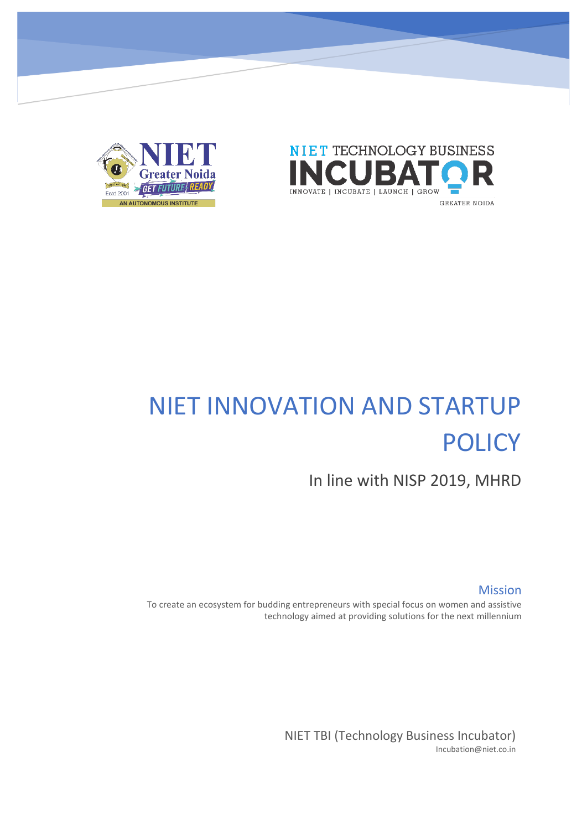



# NIET INNOVATION AND STARTUP **POLICY**

In line with NISP 2019, MHRD

Mission

To create an ecosystem for budding entrepreneurs with special focus on women and assistive technology aimed at providing solutions for the next millennium

> NIET TBI (Technology Business Incubator) Incubation@niet.co.in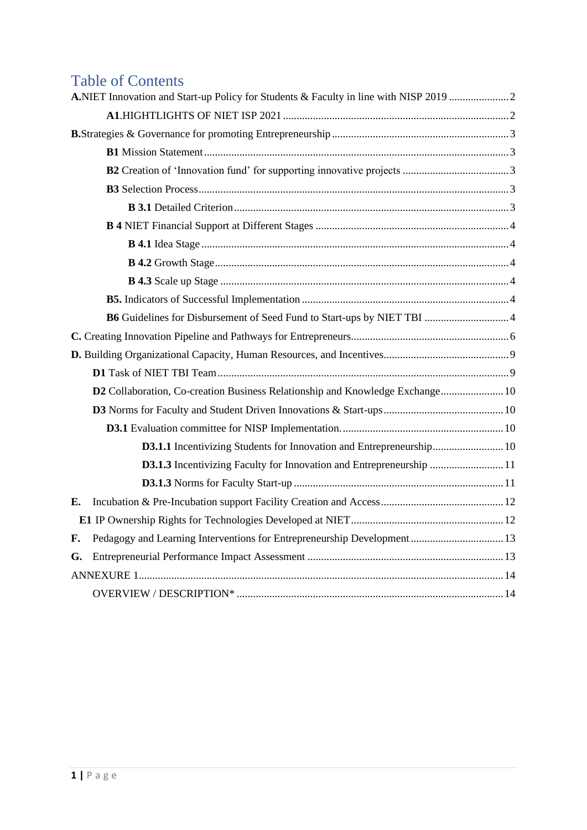# Table of Contents

|    | B6 Guidelines for Disbursement of Seed Fund to Start-ups by NIET TBI  4       |  |
|----|-------------------------------------------------------------------------------|--|
|    |                                                                               |  |
|    |                                                                               |  |
|    |                                                                               |  |
|    | D2 Collaboration, Co-creation Business Relationship and Knowledge Exchange 10 |  |
|    |                                                                               |  |
|    |                                                                               |  |
|    | D3.1.1 Incentivizing Students for Innovation and Entrepreneurship 10          |  |
|    | <b>D3.1.3</b> Incentivizing Faculty for Innovation and Entrepreneurship  11   |  |
|    |                                                                               |  |
| E. |                                                                               |  |
|    |                                                                               |  |
| F. | Pedagogy and Learning Interventions for Entrepreneurship Development 13       |  |
| G. |                                                                               |  |
|    |                                                                               |  |
|    |                                                                               |  |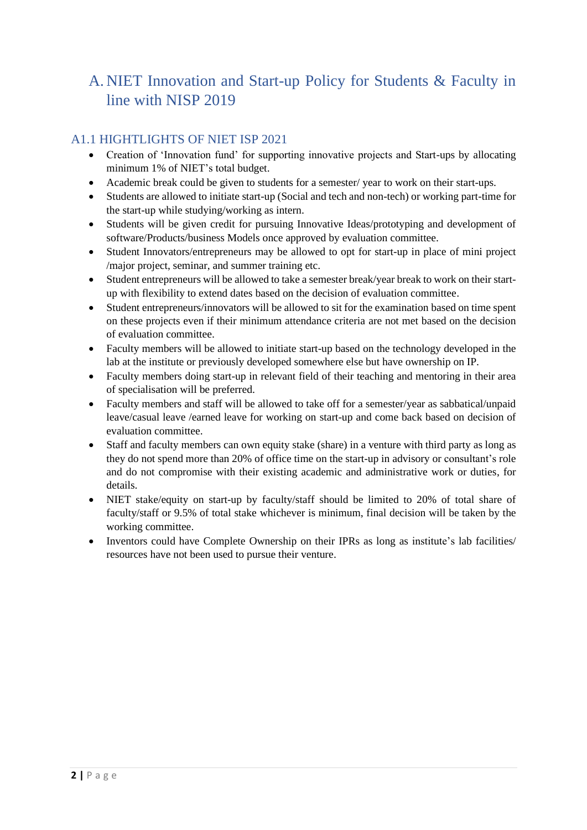# <span id="page-2-0"></span>A. NIET Innovation and Start-up Policy for Students & Faculty in line with NISP 2019

### <span id="page-2-1"></span>A1.1 HIGHTLIGHTS OF NIET ISP 2021

- Creation of 'Innovation fund' for supporting innovative projects and Start-ups by allocating minimum 1% of NIET's total budget.
- Academic break could be given to students for a semester/ year to work on their start-ups.
- Students are allowed to initiate start-up (Social and tech and non-tech) or working part-time for the start-up while studying/working as intern.
- Students will be given credit for pursuing Innovative Ideas/prototyping and development of software/Products/business Models once approved by evaluation committee.
- Student Innovators/entrepreneurs may be allowed to opt for start-up in place of mini project /major project, seminar, and summer training etc.
- Student entrepreneurs will be allowed to take a semester break/year break to work on their startup with flexibility to extend dates based on the decision of evaluation committee.
- Student entrepreneurs/innovators will be allowed to sit for the examination based on time spent on these projects even if their minimum attendance criteria are not met based on the decision of evaluation committee.
- Faculty members will be allowed to initiate start-up based on the technology developed in the lab at the institute or previously developed somewhere else but have ownership on IP.
- Faculty members doing start-up in relevant field of their teaching and mentoring in their area of specialisation will be preferred.
- Faculty members and staff will be allowed to take off for a semester/year as sabbatical/unpaid leave/casual leave /earned leave for working on start-up and come back based on decision of evaluation committee.
- Staff and faculty members can own equity stake (share) in a venture with third party as long as they do not spend more than 20% of office time on the start-up in advisory or consultant's role and do not compromise with their existing academic and administrative work or duties, for details.
- NIET stake/equity on start-up by faculty/staff should be limited to 20% of total share of faculty/staff or 9.5% of total stake whichever is minimum, final decision will be taken by the working committee.
- Inventors could have Complete Ownership on their IPRs as long as institute's lab facilities/ resources have not been used to pursue their venture.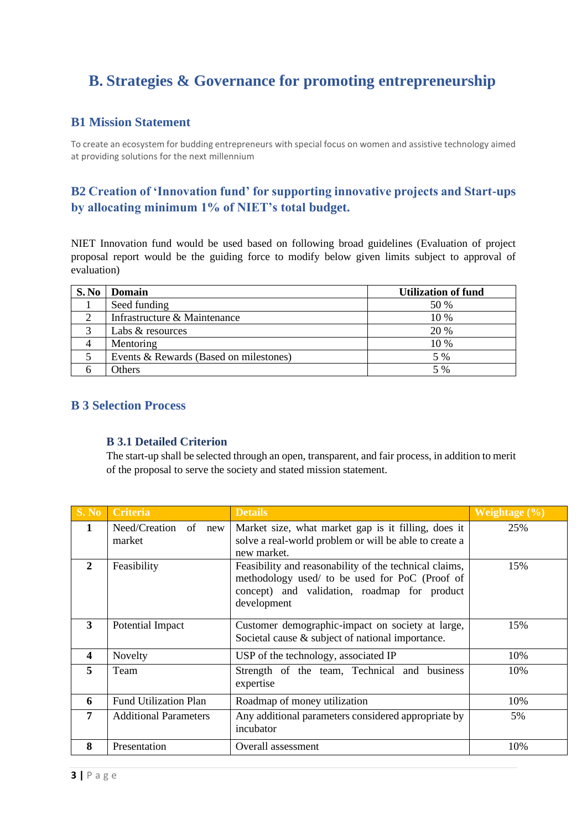# <span id="page-3-0"></span>**B. Strategies & Governance for promoting entrepreneurship**

### <span id="page-3-1"></span>**B1 Mission Statement**

To create an ecosystem for budding entrepreneurs with special focus on women and assistive technology aimed at providing solutions for the next millennium

### <span id="page-3-2"></span>**B2 Creation of 'Innovation fund' for supporting innovative projects and Start-ups by allocating minimum 1% of NIET's total budget.**

NIET Innovation fund would be used based on following broad guidelines (Evaluation of project proposal report would be the guiding force to modify below given limits subject to approval of evaluation)

| S. No | Domain                                 | <b>Utilization of fund</b> |
|-------|----------------------------------------|----------------------------|
|       | Seed funding                           | 50 %                       |
|       | Infrastructure & Maintenance           | $10\%$                     |
| ⌒     | Labs & resources                       | 20 %                       |
|       | Mentoring                              | $10\%$                     |
|       | Events & Rewards (Based on milestones) | 5 %                        |
|       | Others                                 | 5 %                        |

### <span id="page-3-4"></span><span id="page-3-3"></span>**B 3 Selection Process**

#### **B 3.1 Detailed Criterion**

The start-up shall be selected through an open, transparent, and fair process, in addition to merit of the proposal to serve the society and stated mission statement.

| S. No                   | <b>Criteria</b>                                 | <b>Details</b>                                                                                                                                                          | Weightage $(\% )$ |
|-------------------------|-------------------------------------------------|-------------------------------------------------------------------------------------------------------------------------------------------------------------------------|-------------------|
| $\mathbf{1}$            | Need/Creation of<br>new<br>market               | Market size, what market gap is it filling, does it<br>solve a real-world problem or will be able to create a<br>new market.                                            | 25%               |
| $\mathbf{2}$            | Feasibility                                     | Feasibility and reasonability of the technical claims,<br>methodology used/ to be used for PoC (Proof of<br>concept) and validation, roadmap for product<br>development | 15%               |
| 3                       | Potential Impact                                | Customer demographic-impact on society at large,<br>Societal cause & subject of national importance.                                                                    | 15%               |
| $\overline{\mathbf{4}}$ | Novelty<br>USP of the technology, associated IP |                                                                                                                                                                         | 10%               |
| 5                       | Team                                            | Strength of the team, Technical and business<br>expertise                                                                                                               | 10%               |
| 6                       | <b>Fund Utilization Plan</b>                    | Roadmap of money utilization                                                                                                                                            | 10%               |
| 7                       | <b>Additional Parameters</b>                    | Any additional parameters considered appropriate by<br>incubator                                                                                                        | 5%                |
| 8                       | Presentation                                    | Overall assessment                                                                                                                                                      | 10%               |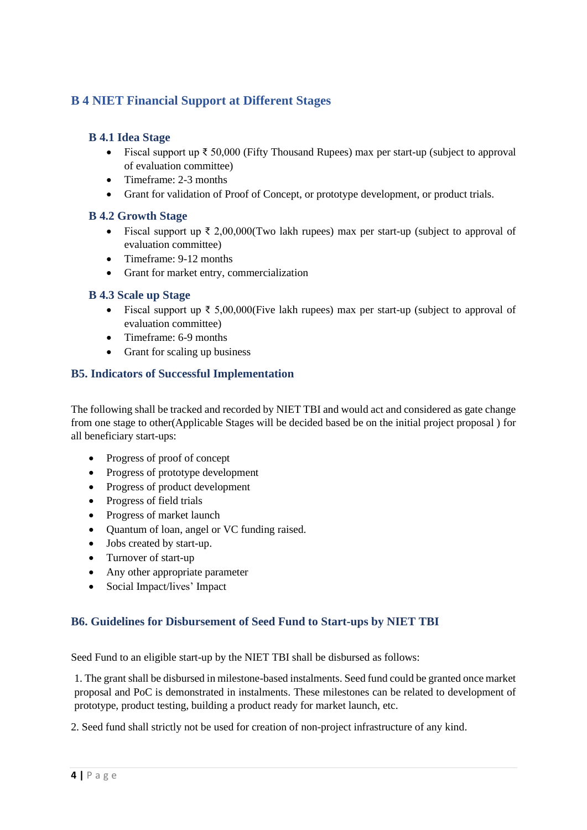### <span id="page-4-0"></span>**B 4 NIET Financial Support at Different Stages**

### <span id="page-4-1"></span>**B 4.1 Idea Stage**

- Fiscal support up ₹ 50,000 (Fifty Thousand Rupees) max per start-up (subject to approval of evaluation committee)
- Timeframe: 2-3 months
- Grant for validation of Proof of Concept, or prototype development, or product trials.

### <span id="page-4-2"></span>**B 4.2 Growth Stage**

- Fiscal support up  $\bar{\tau}$  2,00,000(Two lakh rupees) max per start-up (subject to approval of evaluation committee)
- Timeframe: 9-12 months
- Grant for market entry, commercialization

#### <span id="page-4-3"></span>**B 4.3 Scale up Stage**

- Fiscal support up  $\bar{\xi}$  5,00,000(Five lakh rupees) max per start-up (subject to approval of evaluation committee)
- Timeframe: 6-9 months
- Grant for scaling up business

### <span id="page-4-4"></span>**B5. Indicators of Successful Implementation**

The following shall be tracked and recorded by NIET TBI and would act and considered as gate change from one stage to other(Applicable Stages will be decided based be on the initial project proposal ) for all beneficiary start-ups:

- Progress of proof of concept
- Progress of prototype development
- Progress of product development
- Progress of field trials
- Progress of market launch
- Quantum of loan, angel or VC funding raised.
- Jobs created by start-up.
- Turnover of start-up
- Any other appropriate parameter
- Social Impact/lives' Impact

#### <span id="page-4-5"></span>**B6. Guidelines for Disbursement of Seed Fund to Start-ups by NIET TBI**

Seed Fund to an eligible start-up by the NIET TBI shall be disbursed as follows:

1. The grant shall be disbursed in milestone-based instalments. Seed fund could be granted once market proposal and PoC is demonstrated in instalments. These milestones can be related to development of prototype, product testing, building a product ready for market launch, etc.

2. Seed fund shall strictly not be used for creation of non-project infrastructure of any kind.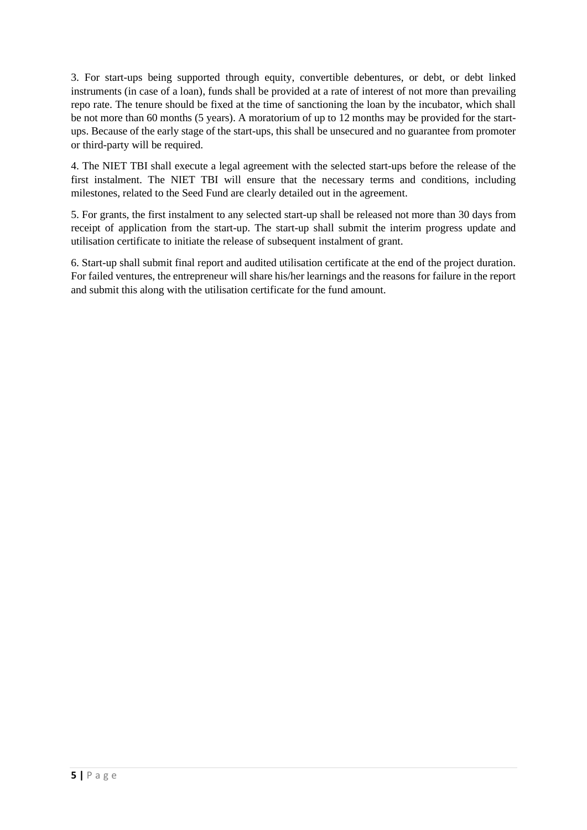3. For start-ups being supported through equity, convertible debentures, or debt, or debt linked instruments (in case of a loan), funds shall be provided at a rate of interest of not more than prevailing repo rate. The tenure should be fixed at the time of sanctioning the loan by the incubator, which shall be not more than 60 months (5 years). A moratorium of up to 12 months may be provided for the startups. Because of the early stage of the start-ups, this shall be unsecured and no guarantee from promoter or third-party will be required.

4. The NIET TBI shall execute a legal agreement with the selected start-ups before the release of the first instalment. The NIET TBI will ensure that the necessary terms and conditions, including milestones, related to the Seed Fund are clearly detailed out in the agreement.

5. For grants, the first instalment to any selected start-up shall be released not more than 30 days from receipt of application from the start-up. The start-up shall submit the interim progress update and utilisation certificate to initiate the release of subsequent instalment of grant.

6. Start-up shall submit final report and audited utilisation certificate at the end of the project duration. For failed ventures, the entrepreneur will share his/her learnings and the reasons for failure in the report and submit this along with the utilisation certificate for the fund amount.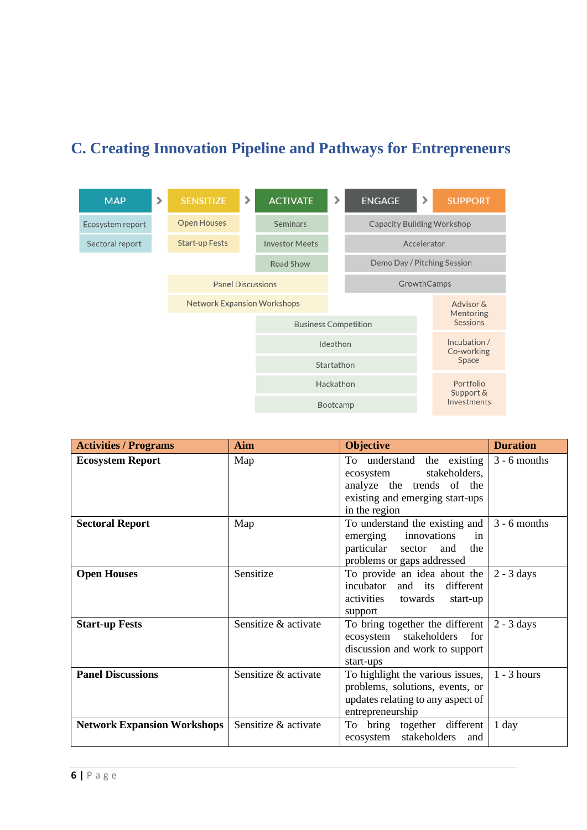# <span id="page-6-0"></span>**C. Creating Innovation Pipeline and Pathways for Entrepreneurs**



| <b>Activities / Programs</b>       | Aim                  | <b>Objective</b>                                                                                                                          | <b>Duration</b> |
|------------------------------------|----------------------|-------------------------------------------------------------------------------------------------------------------------------------------|-----------------|
| <b>Ecosystem Report</b>            | Map                  | To understand the existing<br>stakeholders,<br>ecosystem<br>analyze the trends of the<br>existing and emerging start-ups<br>in the region | $3 - 6$ months  |
| <b>Sectoral Report</b>             | Map                  | To understand the existing and<br>innovations<br>emerging<br>in<br>particular<br>the<br>sector<br>and<br>problems or gaps addressed       | $3 - 6$ months  |
| <b>Open Houses</b>                 | Sensitize            | To provide an idea about the<br>incubator and its<br>different<br>activities towards<br>start-up<br>support                               | $2 - 3$ days    |
| <b>Start-up Fests</b>              | Sensitize & activate | To bring together the different<br>stakeholders<br>for<br>ecosystem<br>discussion and work to support<br>start-ups                        | $2 - 3$ days    |
| <b>Panel Discussions</b>           | Sensitize & activate | To highlight the various issues,<br>problems, solutions, events, or<br>updates relating to any aspect of<br>entrepreneurship              | $1 - 3$ hours   |
| <b>Network Expansion Workshops</b> | Sensitize & activate | To bring together different<br>stakeholders<br>ecosystem<br>and                                                                           | 1 day           |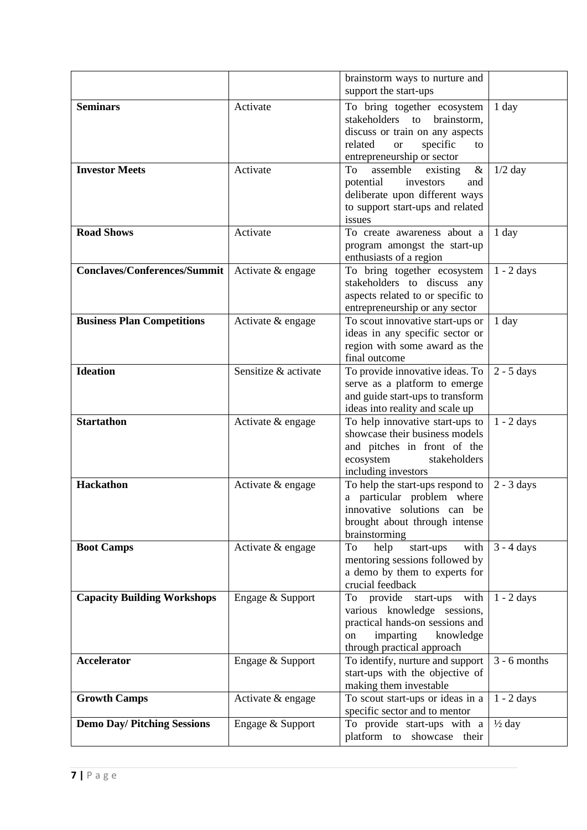|                                     |                      | brainstorm ways to nurture and                                                                                                                                        |                   |
|-------------------------------------|----------------------|-----------------------------------------------------------------------------------------------------------------------------------------------------------------------|-------------------|
|                                     |                      | support the start-ups                                                                                                                                                 |                   |
| <b>Seminars</b>                     | Activate             | To bring together ecosystem<br>stakeholders to brainstorm,<br>discuss or train on any aspects<br>related<br>specific<br><b>or</b><br>to<br>entrepreneurship or sector | 1 day             |
| <b>Investor Meets</b>               | Activate             | To<br>assemble<br>existing<br>$\&$<br>potential<br>investors<br>and<br>deliberate upon different ways<br>to support start-ups and related<br>issues                   | $1/2$ day         |
| <b>Road Shows</b>                   | Activate             | To create awareness about a<br>program amongst the start-up<br>enthusiasts of a region                                                                                | 1 day             |
| <b>Conclaves/Conferences/Summit</b> | Activate & engage    | To bring together ecosystem<br>stakeholders to discuss any<br>aspects related to or specific to<br>entrepreneurship or any sector                                     | $1 - 2$ days      |
| <b>Business Plan Competitions</b>   | Activate & engage    | To scout innovative start-ups or<br>ideas in any specific sector or<br>region with some award as the<br>final outcome                                                 | 1 day             |
| <b>Ideation</b>                     | Sensitize & activate | To provide innovative ideas. To<br>serve as a platform to emerge<br>and guide start-ups to transform<br>ideas into reality and scale up                               | $2 - 5$ days      |
| <b>Startathon</b>                   | Activate & engage    | To help innovative start-ups to<br>showcase their business models<br>and pitches in front of the<br>ecosystem<br>stakeholders<br>including investors                  | $1 - 2$ days      |
| <b>Hackathon</b>                    | Activate & engage    | To help the start-ups respond to<br>a particular problem where<br>innovative solutions can be<br>brought about through intense<br>brainstorming                       | $2 - 3$ days      |
| <b>Boot Camps</b>                   | Activate & engage    | with<br>start-ups<br>To<br>help<br>mentoring sessions followed by<br>a demo by them to experts for<br>crucial feedback                                                | $3 - 4$ days      |
| <b>Capacity Building Workshops</b>  | Engage & Support     | To provide<br>start-ups with<br>various knowledge sessions,<br>practical hands-on sessions and<br>imparting<br>knowledge<br>on<br>through practical approach          | $1 - 2$ days      |
| <b>Accelerator</b>                  | Engage & Support     | To identify, nurture and support<br>start-ups with the objective of<br>making them investable                                                                         | $3 - 6$ months    |
| <b>Growth Camps</b>                 | Activate & engage    | To scout start-ups or ideas in a<br>specific sector and to mentor                                                                                                     | $1 - 2$ days      |
| <b>Demo Day/ Pitching Sessions</b>  | Engage & Support     | To provide start-ups with a<br>platform to showcase their                                                                                                             | $\frac{1}{2}$ day |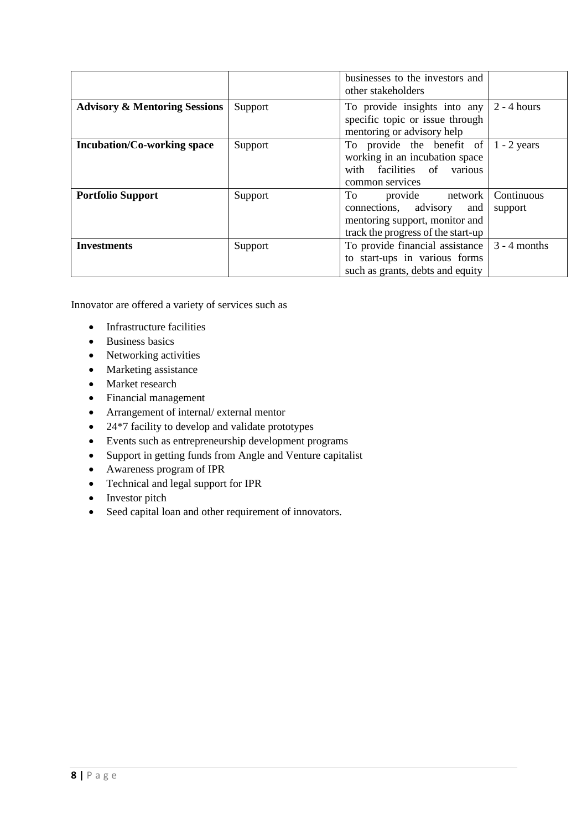|                                          |         | businesses to the investors and<br>other stakeholders                                                                            |                       |
|------------------------------------------|---------|----------------------------------------------------------------------------------------------------------------------------------|-----------------------|
| <b>Advisory &amp; Mentoring Sessions</b> | Support | To provide insights into any<br>specific topic or issue through<br>mentoring or advisory help                                    | $2 - 4$ hours         |
| <b>Incubation/Co-working space</b>       | Support | To provide the benefit of<br>working in an incubation space<br>with facilities of various<br>common services                     | $1 - 2$ years         |
| <b>Portfolio Support</b>                 | Support | To To<br>provide network<br>connections, advisory<br>and<br>mentoring support, monitor and<br>track the progress of the start-up | Continuous<br>support |
| <b>Investments</b>                       | Support | To provide financial assistance $\vert$ 3 - 4 months<br>to start-ups in various forms<br>such as grants, debts and equity        |                       |

Innovator are offered a variety of services such as

- Infrastructure facilities
- Business basics
- Networking activities
- Marketing assistance
- Market research
- Financial management
- Arrangement of internal/ external mentor
- 24\*7 facility to develop and validate prototypes
- Events such as entrepreneurship development programs
- Support in getting funds from Angle and Venture capitalist
- Awareness program of IPR
- Technical and legal support for IPR
- Investor pitch
- Seed capital loan and other requirement of innovators.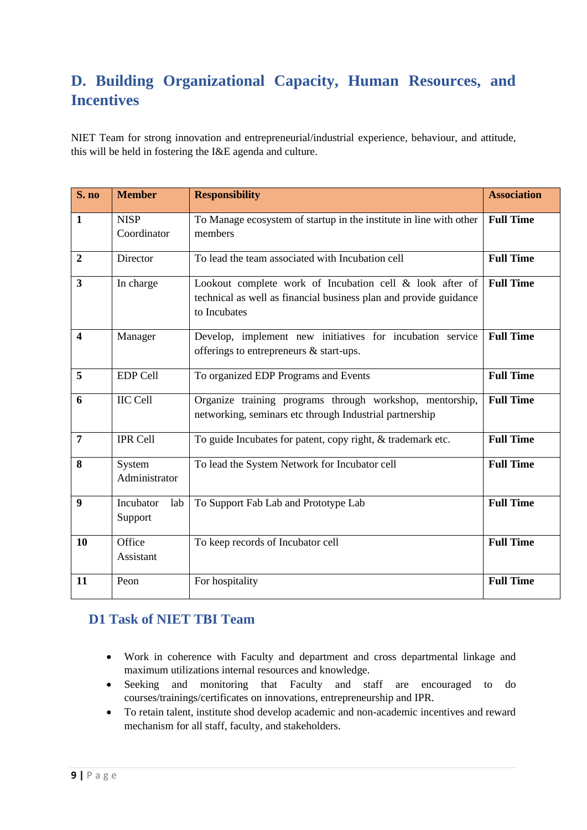# <span id="page-9-0"></span>**D. Building Organizational Capacity, Human Resources, and Incentives**

NIET Team for strong innovation and entrepreneurial/industrial experience, behaviour, and attitude, this will be held in fostering the I&E agenda and culture.

| S. no                   | <b>Member</b>               | <b>Responsibility</b>                                                                                                                         | <b>Association</b> |
|-------------------------|-----------------------------|-----------------------------------------------------------------------------------------------------------------------------------------------|--------------------|
| $\mathbf{1}$            | <b>NISP</b><br>Coordinator  | To Manage ecosystem of startup in the institute in line with other<br>members                                                                 | <b>Full Time</b>   |
| $\boldsymbol{2}$        | Director                    | To lead the team associated with Incubation cell                                                                                              | <b>Full Time</b>   |
| 3                       | In charge                   | Lookout complete work of Incubation cell & look after of<br>technical as well as financial business plan and provide guidance<br>to Incubates | <b>Full Time</b>   |
| $\overline{\mathbf{4}}$ | Manager                     | Develop, implement new initiatives for incubation service<br>offerings to entrepreneurs & start-ups.                                          | <b>Full Time</b>   |
| 5                       | <b>EDP Cell</b>             | To organized EDP Programs and Events                                                                                                          | <b>Full Time</b>   |
| 6                       | <b>IIC Cell</b>             | Organize training programs through workshop, mentorship,<br>networking, seminars etc through Industrial partnership                           | <b>Full Time</b>   |
| 7                       | <b>IPR Cell</b>             | To guide Incubates for patent, copy right, & trademark etc.                                                                                   | <b>Full Time</b>   |
| 8                       | System<br>Administrator     | To lead the System Network for Incubator cell                                                                                                 | <b>Full Time</b>   |
| 9                       | Incubator<br>lab<br>Support | To Support Fab Lab and Prototype Lab                                                                                                          | <b>Full Time</b>   |
| 10                      | Office<br>Assistant         | To keep records of Incubator cell                                                                                                             | <b>Full Time</b>   |
| 11                      | Peon                        | For hospitality                                                                                                                               | <b>Full Time</b>   |

### <span id="page-9-1"></span>**D1 Task of NIET TBI Team**

- Work in coherence with Faculty and department and cross departmental linkage and maximum utilizations internal resources and knowledge.
- Seeking and monitoring that Faculty and staff are encouraged to do courses/trainings/certificates on innovations, entrepreneurship and IPR.
- To retain talent, institute shod develop academic and non-academic incentives and reward mechanism for all staff, faculty, and stakeholders.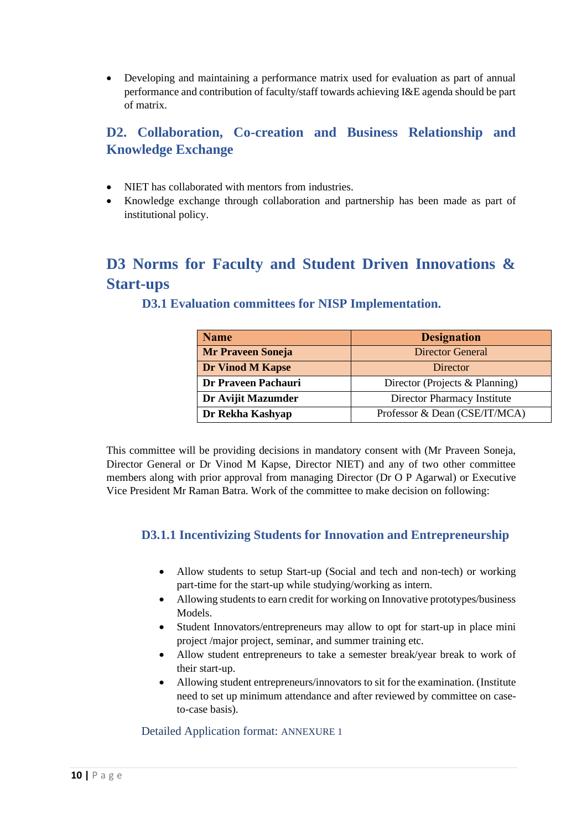• Developing and maintaining a performance matrix used for evaluation as part of annual performance and contribution of faculty/staff towards achieving I&E agenda should be part of matrix.

## <span id="page-10-0"></span>**D2. Collaboration, Co-creation and Business Relationship and Knowledge Exchange**

- NIET has collaborated with mentors from industries.
- Knowledge exchange through collaboration and partnership has been made as part of institutional policy.

# <span id="page-10-2"></span><span id="page-10-1"></span>**D3 Norms for Faculty and Student Driven Innovations & Start-ups**

| <b>Name</b>              | <b>Designation</b>             |
|--------------------------|--------------------------------|
| <b>Mr Praveen Soneja</b> | <b>Director General</b>        |
| <b>Dr Vinod M Kapse</b>  | Director                       |
| Dr Praveen Pachauri      | Director (Projects & Planning) |
| Dr Avijit Mazumder       | Director Pharmacy Institute    |
| Dr Rekha Kashyap         | Professor & Dean (CSE/IT/MCA)  |

### **D3.1 Evaluation committees for NISP Implementation.**

This committee will be providing decisions in mandatory consent with (Mr Praveen Soneja, Director General or Dr Vinod M Kapse, Director NIET) and any of two other committee members along with prior approval from managing Director (Dr O P Agarwal) or Executive Vice President Mr Raman Batra. Work of the committee to make decision on following:

### <span id="page-10-3"></span>**D3.1.1 Incentivizing Students for Innovation and Entrepreneurship**

- Allow students to setup Start-up (Social and tech and non-tech) or working part-time for the start-up while studying/working as intern.
- Allowing students to earn credit for working on Innovative prototypes/business Models.
- Student Innovators/entrepreneurs may allow to opt for start-up in place mini project /major project, seminar, and summer training etc.
- Allow student entrepreneurs to take a semester break/year break to work of their start-up.
- Allowing student entrepreneurs/innovators to sit for the examination. (Institute need to set up minimum attendance and after reviewed by committee on caseto-case basis).

Detailed Application format: ANNEXURE 1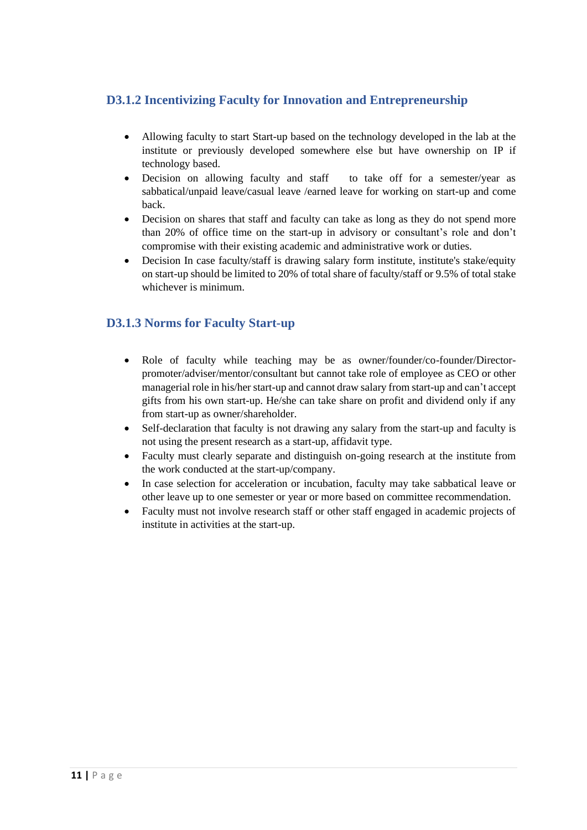### <span id="page-11-0"></span>**D3.1.2 Incentivizing Faculty for Innovation and Entrepreneurship**

- Allowing faculty to start Start-up based on the technology developed in the lab at the institute or previously developed somewhere else but have ownership on IP if technology based.
- Decision on allowing faculty and staff to take off for a semester/year as sabbatical/unpaid leave/casual leave /earned leave for working on start-up and come back.
- Decision on shares that staff and faculty can take as long as they do not spend more than 20% of office time on the start-up in advisory or consultant's role and don't compromise with their existing academic and administrative work or duties.
- Decision In case faculty/staff is drawing salary form institute, institute's stake/equity on start-up should be limited to 20% of total share of faculty/staff or 9.5% of total stake whichever is minimum.

### <span id="page-11-1"></span>**D3.1.3 Norms for Faculty Start-up**

- Role of faculty while teaching may be as owner/founder/co-founder/Directorpromoter/adviser/mentor/consultant but cannot take role of employee as CEO or other managerial role in his/her start-up and cannot draw salary from start-up and can't accept gifts from his own start-up. He/she can take share on profit and dividend only if any from start-up as owner/shareholder.
- Self-declaration that faculty is not drawing any salary from the start-up and faculty is not using the present research as a start-up, affidavit type.
- Faculty must clearly separate and distinguish on-going research at the institute from the work conducted at the start-up/company.
- In case selection for acceleration or incubation, faculty may take sabbatical leave or other leave up to one semester or year or more based on committee recommendation.
- Faculty must not involve research staff or other staff engaged in academic projects of institute in activities at the start-up.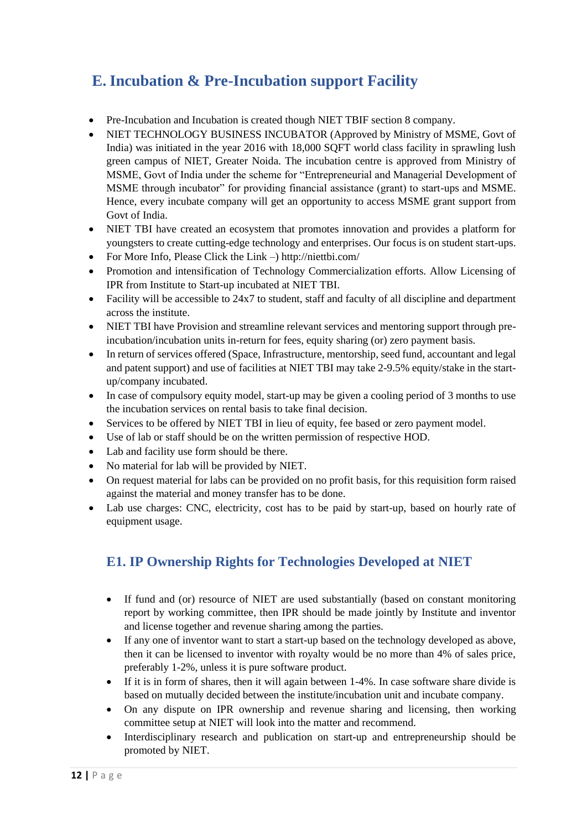# <span id="page-12-0"></span>**E. Incubation & Pre-Incubation support Facility**

- Pre-Incubation and Incubation is created though NIET TBIF section 8 company.
- NIET TECHNOLOGY BUSINESS INCUBATOR (Approved by Ministry of MSME, Govt of India) was initiated in the year 2016 with 18,000 SQFT world class facility in sprawling lush green campus of NIET, Greater Noida. The incubation centre is approved from Ministry of MSME, Govt of India under the scheme for "Entrepreneurial and Managerial Development of MSME through incubator" for providing financial assistance (grant) to start-ups and MSME. Hence, every incubate company will get an opportunity to access MSME grant support from Govt of India.
- NIET TBI have created an ecosystem that promotes innovation and provides a platform for youngsters to create cutting-edge technology and enterprises. Our focus is on student start-ups.
- For More Info, Please Click the Link –) http://niettbi.com/
- Promotion and intensification of Technology Commercialization efforts. Allow Licensing of IPR from Institute to Start-up incubated at NIET TBI.
- Facility will be accessible to 24x7 to student, staff and faculty of all discipline and department across the institute.
- NIET TBI have Provision and streamline relevant services and mentoring support through preincubation/incubation units in-return for fees, equity sharing (or) zero payment basis.
- In return of services offered (Space, Infrastructure, mentorship, seed fund, accountant and legal and patent support) and use of facilities at NIET TBI may take 2-9.5% equity/stake in the startup/company incubated.
- In case of compulsory equity model, start-up may be given a cooling period of 3 months to use the incubation services on rental basis to take final decision.
- Services to be offered by NIET TBI in lieu of equity, fee based or zero payment model.
- Use of lab or staff should be on the written permission of respective HOD.
- Lab and facility use form should be there.
- No material for lab will be provided by NIET.
- On request material for labs can be provided on no profit basis, for this requisition form raised against the material and money transfer has to be done.
- Lab use charges: CNC, electricity, cost has to be paid by start-up, based on hourly rate of equipment usage.

## <span id="page-12-1"></span>**E1. IP Ownership Rights for Technologies Developed at NIET**

- If fund and (or) resource of NIET are used substantially (based on constant monitoring report by working committee, then IPR should be made jointly by Institute and inventor and license together and revenue sharing among the parties.
- If any one of inventor want to start a start-up based on the technology developed as above, then it can be licensed to inventor with royalty would be no more than 4% of sales price, preferably 1-2%, unless it is pure software product.
- If it is in form of shares, then it will again between 1-4%. In case software share divide is based on mutually decided between the institute/incubation unit and incubate company.
- On any dispute on IPR ownership and revenue sharing and licensing, then working committee setup at NIET will look into the matter and recommend.
- Interdisciplinary research and publication on start-up and entrepreneurship should be promoted by NIET.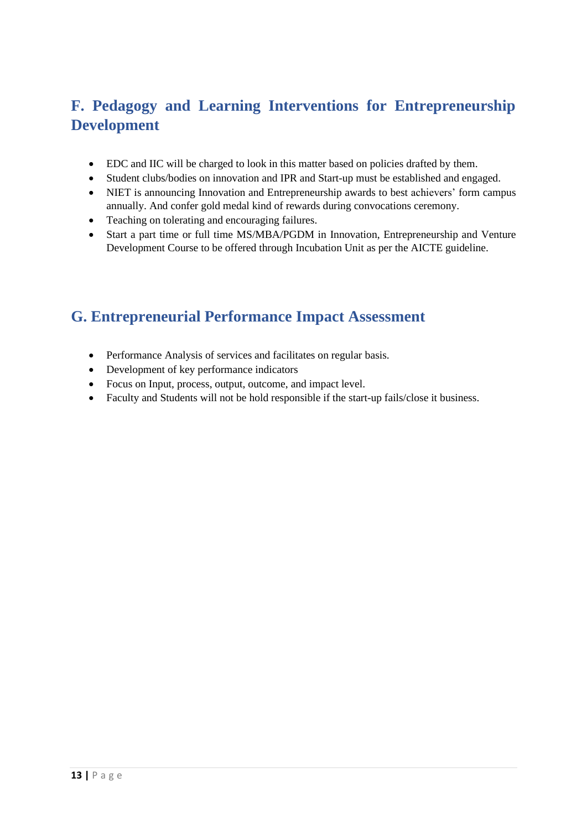# <span id="page-13-0"></span>**F. Pedagogy and Learning Interventions for Entrepreneurship Development**

- EDC and IIC will be charged to look in this matter based on policies drafted by them.
- Student clubs/bodies on innovation and IPR and Start-up must be established and engaged.
- NIET is announcing Innovation and Entrepreneurship awards to best achievers' form campus annually. And confer gold medal kind of rewards during convocations ceremony.
- Teaching on tolerating and encouraging failures.
- Start a part time or full time MS/MBA/PGDM in Innovation, Entrepreneurship and Venture Development Course to be offered through Incubation Unit as per the AICTE guideline.

# <span id="page-13-1"></span>**G. Entrepreneurial Performance Impact Assessment**

- Performance Analysis of services and facilitates on regular basis.
- Development of key performance indicators
- Focus on Input, process, output, outcome, and impact level.
- Faculty and Students will not be hold responsible if the start-up fails/close it business.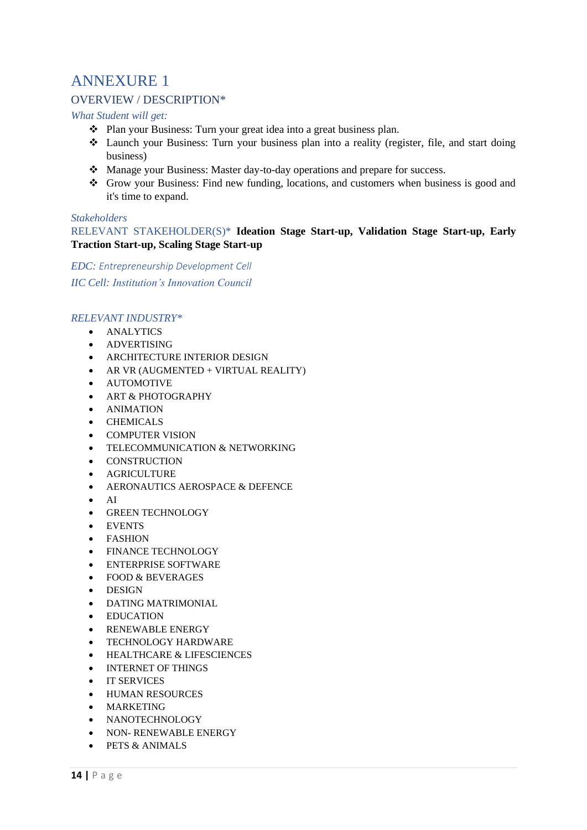# <span id="page-14-0"></span>ANNEXURE 1

### <span id="page-14-1"></span>OVERVIEW / DESCRIPTION\*

*What Student will get:*

- ❖ Plan your Business: Turn your great idea into a great business plan.
- ❖ Launch your Business: Turn your business plan into a reality (register, file, and start doing business)
- ❖ Manage your Business: Master day-to-day operations and prepare for success.
- ❖ Grow your Business: Find new funding, locations, and customers when business is good and it's time to expand.

#### *Stakeholders*

RELEVANT STAKEHOLDER(S)\* **Ideation Stage Start-up, Validation Stage Start-up, Early Traction Start-up, Scaling Stage Start-up**

*EDC: Entrepreneurship Development Cell IIC Cell: Institution's Innovation Council* 

#### *RELEVANT INDUSTRY\**

- ANALYTICS
- ADVERTISING
- ARCHITECTURE INTERIOR DESIGN
- AR VR (AUGMENTED + VIRTUAL REALITY)
- AUTOMOTIVE
- ART & PHOTOGRAPHY
- ANIMATION
- CHEMICALS
- COMPUTER VISION
- TELECOMMUNICATION & NETWORKING
- CONSTRUCTION
- AGRICULTURE
- AERONAUTICS AEROSPACE & DEFENCE
- AI
- GREEN TECHNOLOGY
- EVENTS
- FASHION
- FINANCE TECHNOLOGY
- ENTERPRISE SOFTWARE
- FOOD & BEVERAGES
- DESIGN
- DATING MATRIMONIAL
- EDUCATION
- RENEWABLE ENERGY
- TECHNOLOGY HARDWARE
- HEALTHCARE & LIFESCIENCES
- INTERNET OF THINGS
- IT SERVICES
- HUMAN RESOURCES
- MARKETING
- NANOTECHNOLOGY
- NON- RENEWABLE ENERGY
- $\bullet$  PETS  $\&$  ANIMALS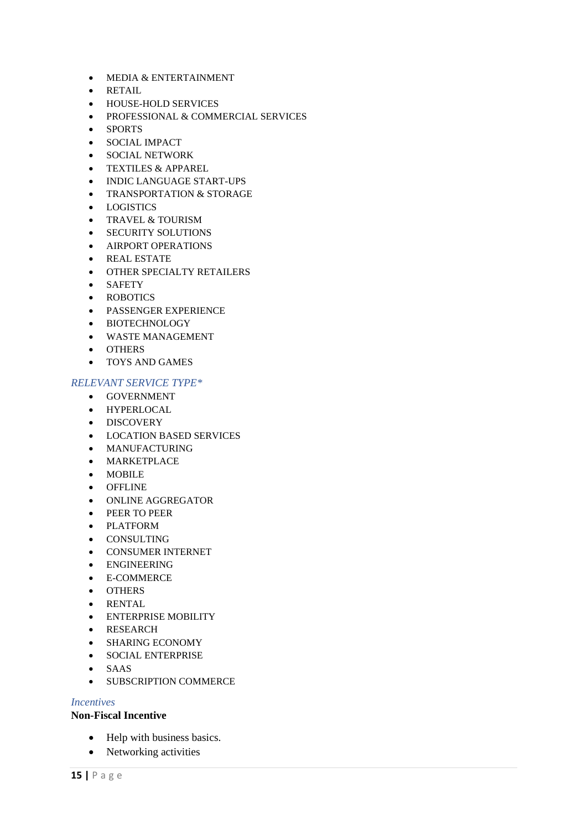- MEDIA & ENTERTAINMENT
- RETAIL
- HOUSE-HOLD SERVICES
- PROFESSIONAL & COMMERCIAL SERVICES
- SPORTS
- SOCIAL IMPACT
- SOCIAL NETWORK
- TEXTILES & APPAREL
- INDIC LANGUAGE START-UPS
- TRANSPORTATION & STORAGE
- LOGISTICS
- TRAVEL & TOURISM
- SECURITY SOLUTIONS
- AIRPORT OPERATIONS
- REAL ESTATE
- OTHER SPECIALTY RETAILERS
- SAFETY
- ROBOTICS
- PASSENGER EXPERIENCE
- BIOTECHNOLOGY
- WASTE MANAGEMENT
- OTHERS
- TOYS AND GAMES

#### *RELEVANT SERVICE TYPE\**

- GOVERNMENT
- HYPERLOCAL
- DISCOVERY
- LOCATION BASED SERVICES
- MANUFACTURING
- MARKETPLACE
- MOBILE
- OFFLINE
- ONLINE AGGREGATOR
- PEER TO PEER
- PLATFORM
- CONSULTING
- CONSUMER INTERNET
- ENGINEERING
- E-COMMERCE
- OTHERS
- RENTAL
- ENTERPRISE MOBILITY
- RESEARCH
- SHARING ECONOMY
- SOCIAL ENTERPRISE
- SAAS
- SUBSCRIPTION COMMERCE

#### *Incentives*

#### **Non-Fiscal Incentive**

- Help with business basics.
- Networking activities